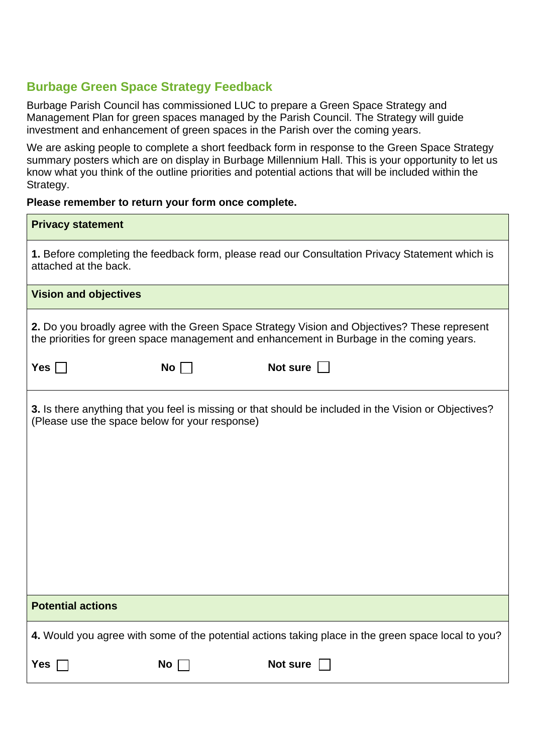## **Burbage Green Space Strategy Feedback**

Burbage Parish Council has commissioned LUC to prepare a Green Space Strategy and Management Plan for green spaces managed by the Parish Council. The Strategy will guide investment and enhancement of green spaces in the Parish over the coming years.

We are asking people to complete a short feedback form in response to the Green Space Strategy summary posters which are on display in Burbage Millennium Hall. This is your opportunity to let us know what you think of the outline priorities and potential actions that will be included within the Strategy.

## **Please remember to return your form once complete.**

| <b>Privacy statement</b>                                                                                                                                                                  |                 |          |
|-------------------------------------------------------------------------------------------------------------------------------------------------------------------------------------------|-----------------|----------|
| 1. Before completing the feedback form, please read our Consultation Privacy Statement which is<br>attached at the back.                                                                  |                 |          |
| <b>Vision and objectives</b>                                                                                                                                                              |                 |          |
| 2. Do you broadly agree with the Green Space Strategy Vision and Objectives? These represent<br>the priorities for green space management and enhancement in Burbage in the coming years. |                 |          |
| Yes $\Box$                                                                                                                                                                                | No <sub>1</sub> | Not sure |
| 3. Is there anything that you feel is missing or that should be included in the Vision or Objectives?<br>(Please use the space below for your response)                                   |                 |          |
| <b>Potential actions</b>                                                                                                                                                                  |                 |          |
| 4. Would you agree with some of the potential actions taking place in the green space local to you?                                                                                       |                 |          |
| Yes                                                                                                                                                                                       | No              | Not sure |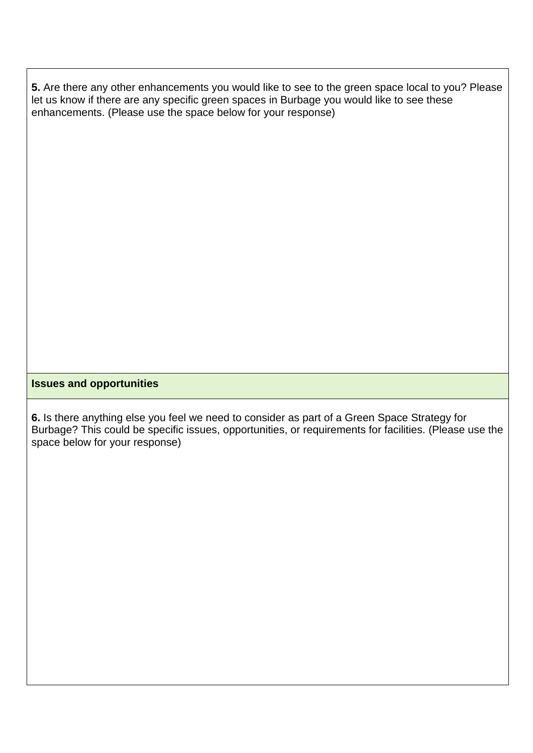**5.** Are there any other enhancements you would like to see to the green space local to you? Please let us know if there are any specific green spaces in Burbage you would like to see these enhancements. (Please use the space below for your response)

## **Issues and opportunities**

**6.** Is there anything else you feel we need to consider as part of a Green Space Strategy for Burbage? This could be specific issues, opportunities, or requirements for facilities. (Please use the space below for your response)